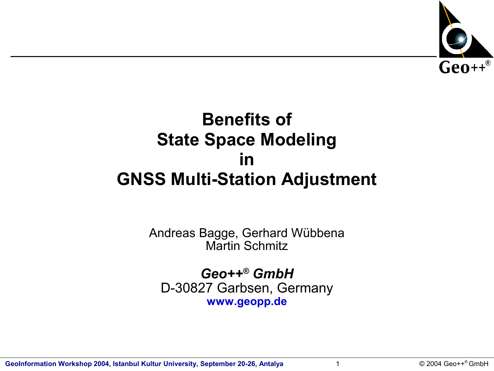

#### **Benefits of State Space Modeling in GNSS Multi-Station Adjustment**

Andreas Bagge, Gerhard Wübbena Martin Schmitz

*Geo++® GmbH* D-30827 Garbsen, Germany **www.geopp.de**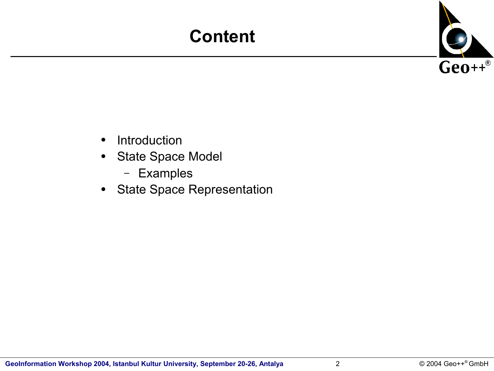### **Content**



- Introduction
- State Space Model
	- Examples
- State Space Representation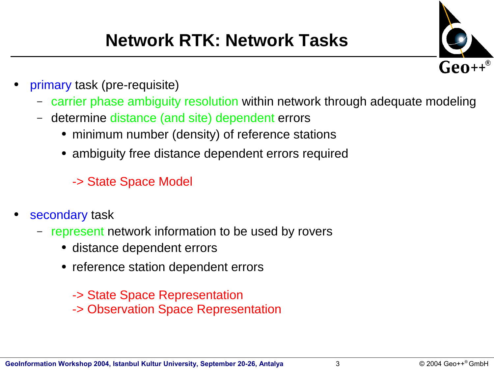## **Network RTK: Network Tasks**



- primary task (pre-requisite)
	- carrier phase ambiguity resolution within network through adequate modeling
	- determine distance (and site) dependent errors
		- minimum number (density) of reference stations
		- ambiguity free distance dependent errors required
			- -> State Space Model
- secondary task
	- represent network information to be used by rovers
		- distance dependent errors
		- reference station dependent errors
			- -> State Space Representation
			- -> Observation Space Representation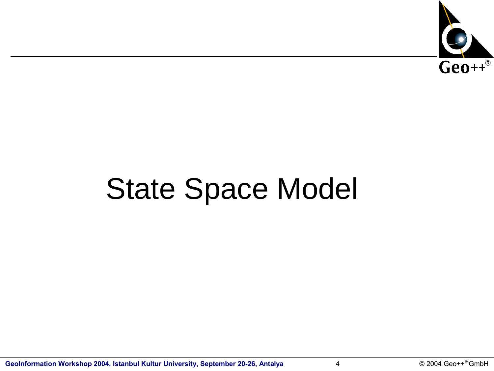

# State Space Model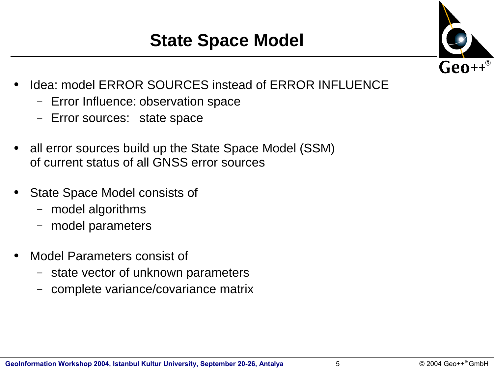

- Idea: model ERROR SOURCES instead of ERROR INFLUENCE
	- Error Influence: observation space
	- Error sources: state space
- all error sources build up the State Space Model (SSM) of current status of all GNSS error sources
- **State Space Model consists of** 
	- model algorithms
	- model parameters
- Model Parameters consist of
	- state vector of unknown parameters
	- complete variance/covariance matrix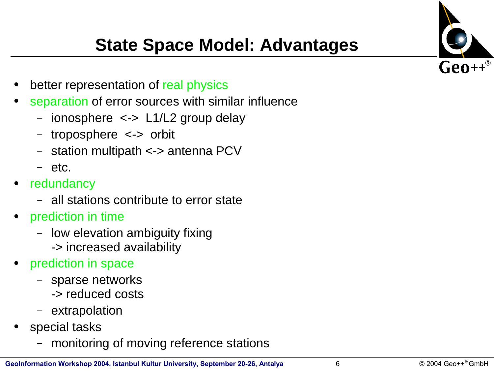

#### **State Space Model: Advantages**

- better representation of real physics
- separation of error sources with similar influence
	- ionosphere <-> L1/L2 group delay
	- troposphere <-> orbit
	- station multipath <-> antenna PCV
	- etc.
- redundancy
	- all stations contribute to error state
- prediction in time
	- low elevation ambiguity fixing
		- -> increased availability
- prediction in space
	- sparse networks
		- -> reduced costs
	- extrapolation
- special tasks
	- monitoring of moving reference stations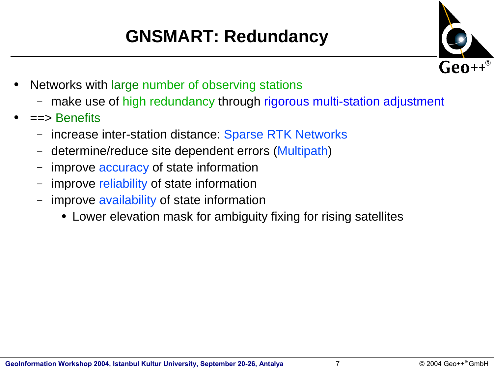# **GNSMART: Redundancy**



- Networks with large number of observing stations
	- make use of high redundancy through rigorous multi-station adjustment
- $\equiv$   $\Rightarrow$  Benefits
	- increase inter-station distance: Sparse RTK Networks
	- determine/reduce site dependent errors (Multipath)
	- improve accuracy of state information
	- improve reliability of state information
	- improve availability of state information
		- Lower elevation mask for ambiguity fixing for rising satellites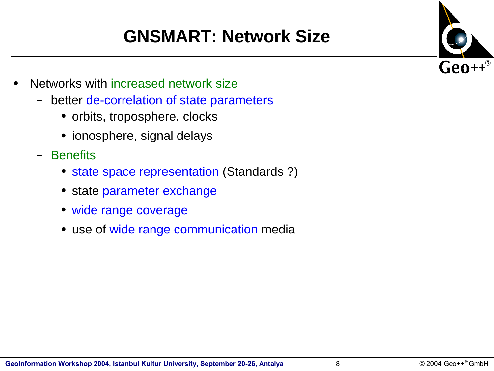# **GNSMART: Network Size**



- Networks with increased network size
	- better de-correlation of state parameters
		- orbits, troposphere, clocks
		- ionosphere, signal delays
	- Benefits
		- state space representation (Standards ?)
		- state parameter exchange
		- wide range coverage
		- use of wide range communication media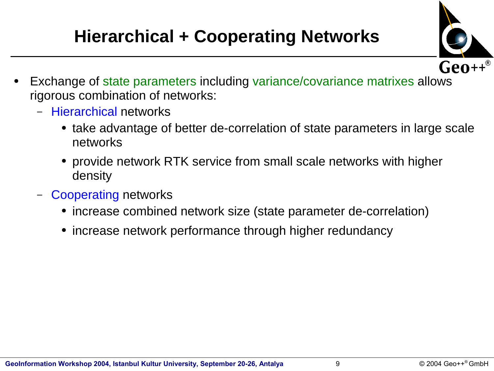# **Hierarchical + Cooperating Networks**



- Exchange of state parameters including variance/covariance matrixes allows rigorous combination of networks:
	- Hierarchical networks
		- take advantage of better de-correlation of state parameters in large scale networks
		- provide network RTK service from small scale networks with higher density
	- Cooperating networks
		- increase combined network size (state parameter de-correlation)
		- increase network performance through higher redundancy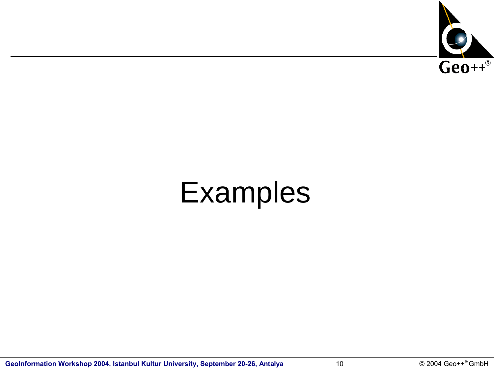

# Examples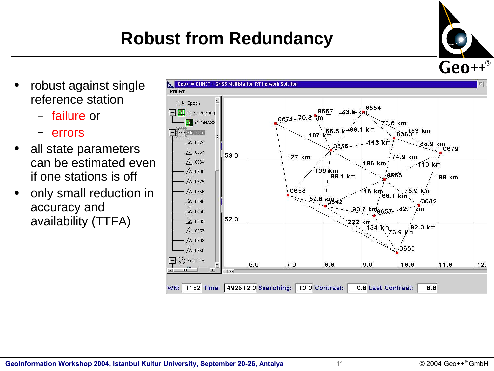#### $@$  2004 Geo++® GmbH

## **Robust from Redundancy**

- robust against single reference station
	- failure or
	- errors
- all state parameters can be estimated even if one stations is off
- only small reduction in accuracy and availability (TTFA)



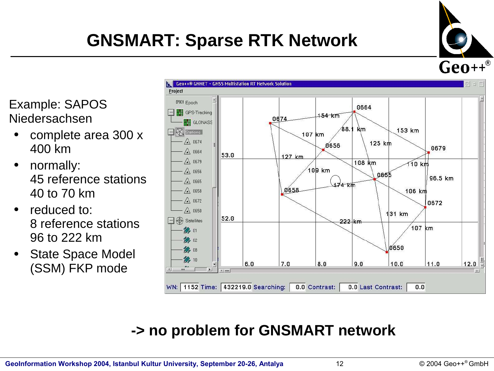# **GNSMART: Sparse RTK Network**



Example: SAPOS Niedersachsen

- complete area 300 x 400 km
- normally: 45 reference stations 40 to 70 km
- reduced to: 8 reference stations 96 to 222 km
- **State Space Model** (SSM) FKP mode



#### **-> no problem for GNSMART network**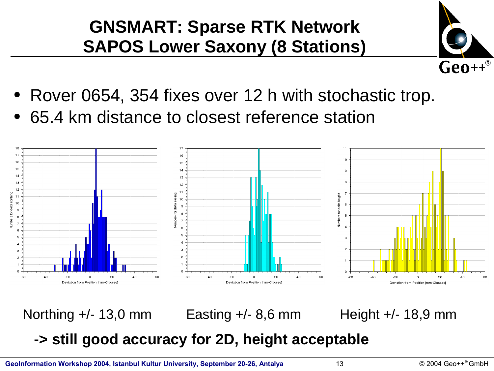#### **GNSMART: Sparse RTK Network SAPOS Lower Saxony (8 Stations)**



- Rover 0654, 354 fixes over 12 h with stochastic trop.
- 65.4 km distance to closest reference station



Northing +/- 13,0 mm Easting +/- 8,6 mm Height +/- 18,9 mm

#### **-> still good accuracy for 2D, height acceptable**

**GeoInformation Workshop 2004, Istanbul Kultur University, September 20-26, Antalya**  $13$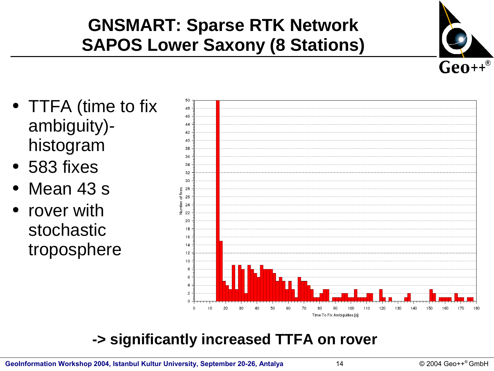### **GNSMART: Sparse RTK Network SAPOS Lower Saxony (8 Stations)**



- TTFA (time to fix ambiguity) histogram
- 583 fixes
- Mean 43 s
- rover with stochastic troposphere



#### **-> significantly increased TTFA on rover**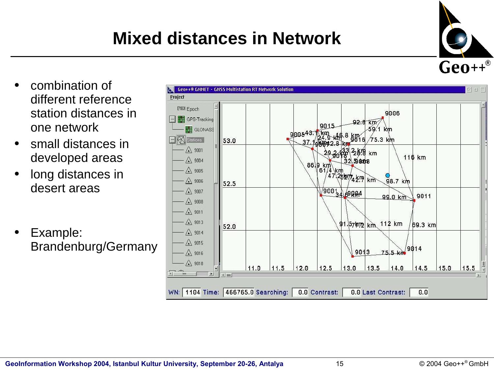### **Mixed distances in Network**

- combination of different reference station distances in one network
- small distances in developed areas
- long distances in desert areas
- Example: Brandenburg/Germany



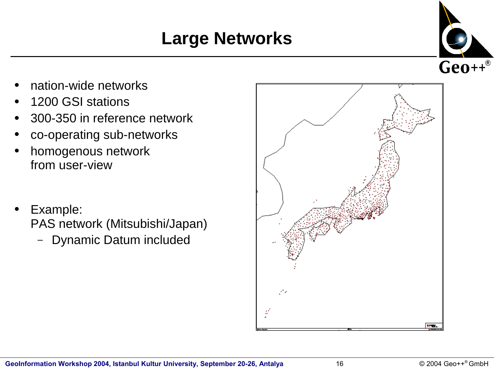## **Large Networks**



- nation-wide networks
- 1200 GSI stations
- 300-350 in reference network
- co-operating sub-networks
- homogenous network from user-view
- Example: PAS network (Mitsubishi/Japan)
	- Dynamic Datum included

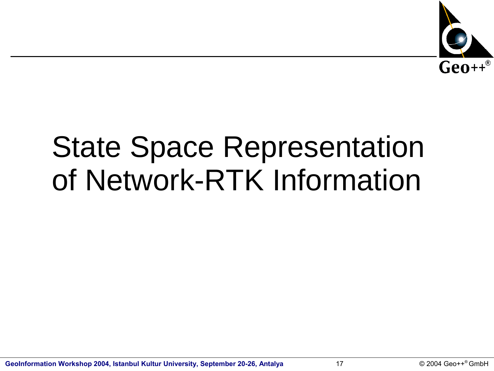

# State Space Representation of Network-RTK Information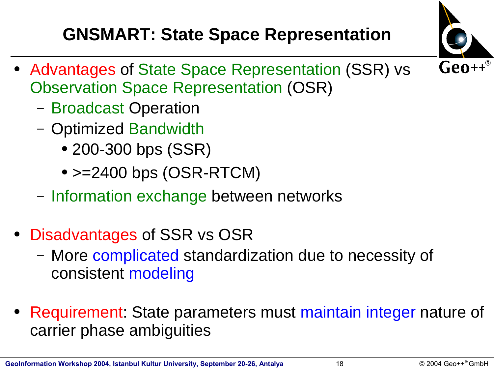# **GNSMART: State Space Representation**



- Advantages of State Space Representation (SSR) vs Observation Space Representation (OSR)
	- Broadcast Operation
	- Optimized Bandwidth
		- 200-300 bps (SSR)
		- $\bullet$  >=2400 bps (OSR-RTCM)
	- Information exchange between networks
- Disadvantages of SSR vs OSR
	- More complicated standardization due to necessity of consistent modeling
- Requirement: State parameters must maintain integer nature of carrier phase ambiguities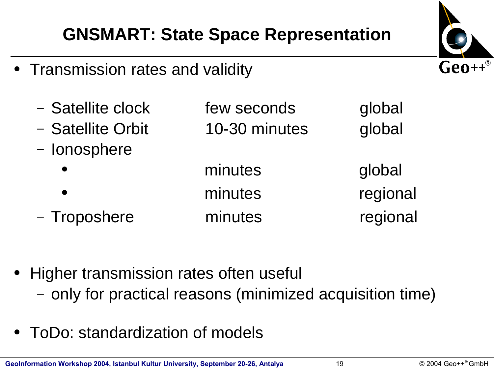#### **GNSMART: State Space Representation**

- Transmission rates and validity
	- Satellite clock few seconds global – Satellite Orbit 10-30 minutes global – Ionosphere minutes global minutes regional – Troposhere minutes regional

- Higher transmission rates often useful
	- only for practical reasons (minimized acquisition time)
- ToDo: standardization of models

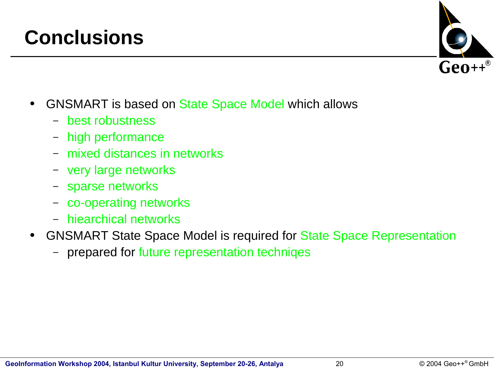#### **Conclusions**

- GNSMART is based on State Space Model which allows
	- best robustness
	- high performance
	- mixed distances in networks
	- very large networks
	- sparse networks
	- co-operating networks
	- hiearchical networks
- GNSMART State Space Model is required for State Space Representation
	- prepared for future representation techniqes